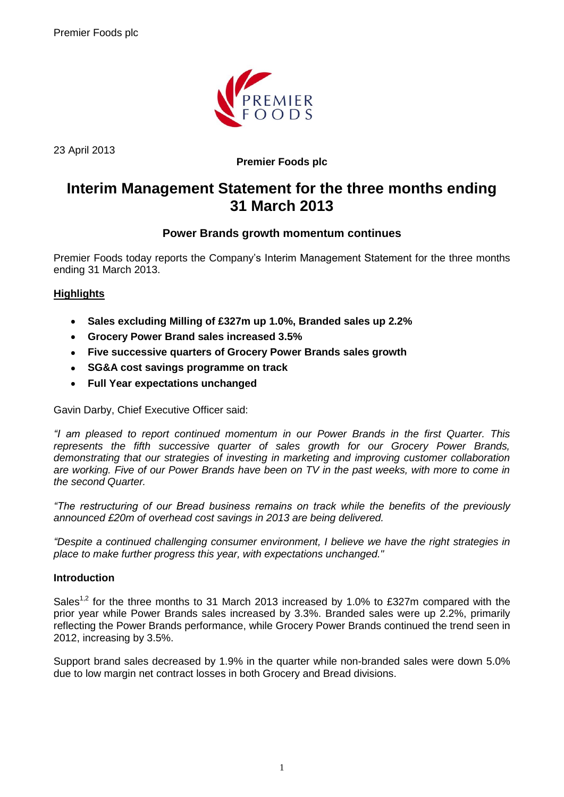

23 April 2013

# **Premier Foods plc**

# **Interim Management Statement for the three months ending 31 March 2013**

# **Power Brands growth momentum continues**

Premier Foods today reports the Company's Interim Management Statement for the three months ending 31 March 2013.

# **Highlights**

- **Sales excluding Milling of £327m up 1.0%, Branded sales up 2.2%**  $\bullet$
- **Grocery Power Brand sales increased 3.5%**  $\bullet$
- **Five successive quarters of Grocery Power Brands sales growth**
- **SG&A cost savings programme on track**
- **Full Year expectations unchanged**

Gavin Darby, Chief Executive Officer said:

*"I am pleased to report continued momentum in our Power Brands in the first Quarter. This represents the fifth successive quarter of sales growth for our Grocery Power Brands, demonstrating that our strategies of investing in marketing and improving customer collaboration are working. Five of our Power Brands have been on TV in the past weeks, with more to come in the second Quarter.*

*"The restructuring of our Bread business remains on track while the benefits of the previously announced £20m of overhead cost savings in 2013 are being delivered.*

*"Despite a continued challenging consumer environment, I believe we have the right strategies in place to make further progress this year, with expectations unchanged."*

## **Introduction**

Sales<sup>1,2</sup> for the three months to 31 March 2013 increased by 1.0% to £327m compared with the prior year while Power Brands sales increased by 3.3%. Branded sales were up 2.2%, primarily reflecting the Power Brands performance, while Grocery Power Brands continued the trend seen in 2012, increasing by 3.5%.

Support brand sales decreased by 1.9% in the quarter while non-branded sales were down 5.0% due to low margin net contract losses in both Grocery and Bread divisions.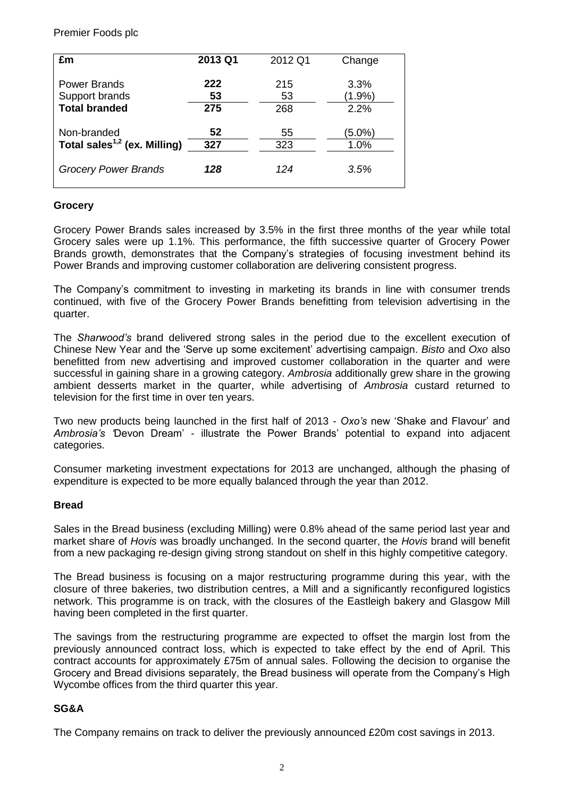Premier Foods plc

| £m                                       | 2013 Q1 | 2012 Q1 | Change    |
|------------------------------------------|---------|---------|-----------|
| <b>Power Brands</b>                      | 222     | 215     | 3.3%      |
| Support brands                           | 53      | 53      | $(1.9\%)$ |
| <b>Total branded</b>                     | 275     | 268     | 2.2%      |
| Non-branded                              | 52      | 55      | $(5.0\%)$ |
| Total sales <sup>1,2</sup> (ex. Milling) | 327     | 323     | 1.0%      |
| <b>Grocery Power Brands</b>              | 128     | 124     | 3.5%      |

#### **Grocery**

Grocery Power Brands sales increased by 3.5% in the first three months of the year while total Grocery sales were up 1.1%. This performance, the fifth successive quarter of Grocery Power Brands growth, demonstrates that the Company's strategies of focusing investment behind its Power Brands and improving customer collaboration are delivering consistent progress.

The Company's commitment to investing in marketing its brands in line with consumer trends continued, with five of the Grocery Power Brands benefitting from television advertising in the quarter.

The *Sharwood's* brand delivered strong sales in the period due to the excellent execution of Chinese New Year and the 'Serve up some excitement' advertising campaign. *Bisto* and *Oxo* also benefitted from new advertising and improved customer collaboration in the quarter and were successful in gaining share in a growing category. *Ambrosia* additionally grew share in the growing ambient desserts market in the quarter, while advertising of *Ambrosia* custard returned to television for the first time in over ten years.

Two new products being launched in the first half of 2013 - *Oxo's* new 'Shake and Flavour' and *Ambrosia's '*Devon Dream' - illustrate the Power Brands' potential to expand into adjacent categories.

Consumer marketing investment expectations for 2013 are unchanged, although the phasing of expenditure is expected to be more equally balanced through the year than 2012.

#### **Bread**

Sales in the Bread business (excluding Milling) were 0.8% ahead of the same period last year and market share of *Hovis* was broadly unchanged. In the second quarter, the *Hovis* brand will benefit from a new packaging re-design giving strong standout on shelf in this highly competitive category.

The Bread business is focusing on a major restructuring programme during this year, with the closure of three bakeries, two distribution centres, a Mill and a significantly reconfigured logistics network. This programme is on track, with the closures of the Eastleigh bakery and Glasgow Mill having been completed in the first quarter.

The savings from the restructuring programme are expected to offset the margin lost from the previously announced contract loss, which is expected to take effect by the end of April. This contract accounts for approximately £75m of annual sales. Following the decision to organise the Grocery and Bread divisions separately, the Bread business will operate from the Company's High Wycombe offices from the third quarter this year.

#### **SG&A**

The Company remains on track to deliver the previously announced £20m cost savings in 2013.